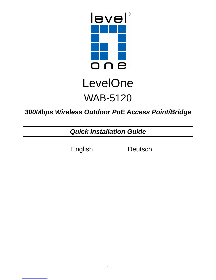

# LevelOne WAB-5120

### **300Mbps Wireless Outdoor PoE Access Point/Bridge**

**Quick Installation Guide** 

English Deutsch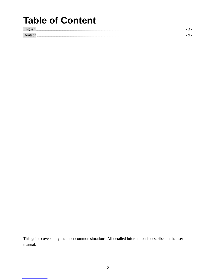# **Table of Content**

| . . |  |
|-----|--|
|     |  |

This guide covers only the most common situations. All detailed information is described in the user manual.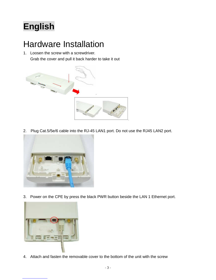# **English**

## Hardware Installation

1. Loosen the screw with a screwdriver. Grab the cover and pull it back harder to take it out



2. Plug Cat.5/5e/6 cable into the RJ-45 LAN1 port. Do not use the RJ45 LAN2 port.



3. Power on the CPE by press the black PWR button beside the LAN 1 Ethernet port.



4. Attach and fasten the removable cover to the bottom of the unit with the screw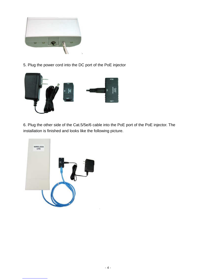

5. Plug the power cord into the DC port of the PoE injector



6. Plug the other side of the Cat.5/5e/6 cable into the PoE port of the PoE injector. The installation is finished and looks like the following picture.

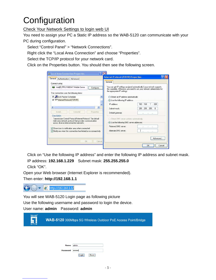# **Configuration**

### Check Your Network Settings to login web UI

You need to assign your PC a Static IP address so the WAB-5120 can communicate with your PC during configuration.

Select "Control Panel" > "Network Connections".

Right click the "Local Area Connection" and choose "Properties".

Select the TCP/IP protocol for your network card.

Click on the Properties button. You should then see the following screen.

| General<br>Authentication Advanced                                                                                    | <b>Internet Protocol (TCP/IP) Properties</b>                                                                                                                                          |
|-----------------------------------------------------------------------------------------------------------------------|---------------------------------------------------------------------------------------------------------------------------------------------------------------------------------------|
| Connect using:                                                                                                        | General                                                                                                                                                                               |
| Intel(R) PRO/1000 MT Mobile Conne<br>Configure<br>This connection uses the following items:                           | You can get IP settings assigned automatically if your network supports<br>this capability. Otherwise, you need to ask your network administrator for<br>the appropriate IP settings. |
| ■ QoS Packet Scheduler                                                                                                | O Obtain an IP address automatically                                                                                                                                                  |
| Themet Protocol (TCP/IP)                                                                                              | Use the following IP address:                                                                                                                                                         |
|                                                                                                                       | 192 . 168 . 1 . 229<br>IP address:                                                                                                                                                    |
| $\epsilon$<br>III)<br>⋗                                                                                               | 255 . 255 . 255 . 0<br>Subnet mask:                                                                                                                                                   |
| Hninskall<br>Install.<br><b>Properties</b>                                                                            | Default gateway:<br>86.<br>50 69                                                                                                                                                      |
| Description                                                                                                           |                                                                                                                                                                                       |
| Transmission Control Protocol/Internet Protocol The default<br>wide area network protocol that provides communication | Obtain DNS server address automatically                                                                                                                                               |
| across diverse interconnected networks.                                                                               | Use the following DNS server addresses:                                                                                                                                               |
| Show icon in notification area when connected                                                                         | Preferred DNS server<br>$22 - 82$                                                                                                                                                     |
| Notify me when this connection has limited or no connectivity                                                         | Alternate DNS server:                                                                                                                                                                 |
|                                                                                                                       | Advanced                                                                                                                                                                              |
| <b>DK</b><br>Cancel                                                                                                   |                                                                                                                                                                                       |

Click on "Use the following IP address" and enter the following IP address and subnet mask. IP address: **192.168.1.229** Subnet mask: **255.255.255.0** Click "OK".

Open your Web browser (Internet Explorer is recommended).

Then enter: **http://192.168.1.1** 



You will see WAB-5120 Login page as following picture

Use the following username and password to login the device.

User name: **admin** Password: **admin**

| level <sup>*</sup><br>н<br>one |             | <b>WAB-5120</b> 300Mbps 5G Wireless Outdoor PoE Access Point/Bridge |
|--------------------------------|-------------|---------------------------------------------------------------------|
|                                |             |                                                                     |
|                                | <b>Name</b> | admin                                                               |
|                                | Password    | <br>Reset<br>Login                                                  |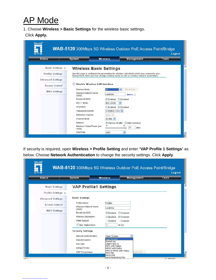# AP Mode

1. Choose **Wireless > Basic Settings** for the wireless basic settings.

#### Click **Apply.**

| <b>Status</b>            | <b>System</b>                        | <b>Wireless</b>           | Management                                                                                                                                                                              | Tools |
|--------------------------|--------------------------------------|---------------------------|-----------------------------------------------------------------------------------------------------------------------------------------------------------------------------------------|-------|
| <b>Basic Settings »</b>  | <b>Wireless Basic Settings</b>       |                           |                                                                                                                                                                                         |       |
| <b>Profile Settings</b>  |                                      |                           | Use this page to configure the parameters for wireless LAN clients which may connect to your<br>Access Point. Here you may change wireless mode as well as wireless network parameters. |       |
| <b>Advanced Settings</b> |                                      |                           |                                                                                                                                                                                         |       |
| Access Control           | Disable Wireless LAN Interface       |                           |                                                                                                                                                                                         |       |
| <b>WDS Settings</b>      | Wireless Mode:                       | <b>AP</b><br>$\checkmark$ | Site Survey                                                                                                                                                                             |       |
|                          | Wireless Network Name<br>$(SSID)$ :  | LevelOne                  | (more)                                                                                                                                                                                  |       |
|                          | Broadcast SSID:                      | $\odot$ Enabled           | O Disabled                                                                                                                                                                              |       |
|                          | 802.11 Mode:                         | $\checkmark$<br>802.11A/N |                                                                                                                                                                                         |       |
|                          | HT protect:                          | Enabled                   | <b>O</b> Disabled                                                                                                                                                                       |       |
|                          | Frequency/Channel:                   | 5745MHz (149) V           |                                                                                                                                                                                         |       |
|                          | Extension Channel:                   | None M                    |                                                                                                                                                                                         |       |
|                          | Channel Mode:                        | 20 MHz V                  |                                                                                                                                                                                         |       |
|                          | Antenna:                             | C Internal (16 dBi)       | SMA Connector                                                                                                                                                                           |       |
|                          | Maximum Output Power (per<br>chain): | 12                        | 21<br>21<br>dBm<br>œ                                                                                                                                                                    |       |
|                          | Data Rate:                           | Auto                      | v                                                                                                                                                                                       |       |

If security is required, open **Wireless > Profile Setting** and enter "**VAP Profile 1 Settings**" as below. Choose **Network Authentication** to change the security settings. Click **Apply**.

| <b>Status</b>            | <b>System</b>                        | <b>Wireless</b>                                               | Management | Tools |
|--------------------------|--------------------------------------|---------------------------------------------------------------|------------|-------|
| <b>Basic Settings</b>    | <b>VAP Profile1 Settings</b>         |                                                               |            |       |
| Profile Settings »       |                                      |                                                               |            |       |
| <b>Advanced Settings</b> | <b>Basic Settings</b>                |                                                               |            |       |
| <b>Access Control</b>    | Profile Name:                        | Profile1                                                      |            |       |
| <b>WDS Settings</b>      | Wireless Network Name<br>$(SSID)$ :  | LevelOne                                                      |            |       |
|                          | Broadcast SSID:                      | <b>O</b> Disabled<br>$\odot$ Enabled                          |            |       |
|                          | Wireless Separation:<br>WMM Support: | C Enabled<br>⊙Disabled<br>Disabled<br>- Enabled               |            |       |
|                          | Max. Station Num:                    | 32<br>$(0-32)$                                                |            |       |
|                          | <b>Security Settings</b>             |                                                               |            |       |
|                          | Network Authentication:              | Open System                                                   |            |       |
|                          | Data Encryption:                     | Open System                                                   |            |       |
|                          | Key Type:                            | Shared Key<br>Legacy 802.1x                                   |            |       |
|                          | Default Tx Key:                      | WPA with Radius<br>WPA2 with Radius<br>WPA & WPA2 with Radius |            |       |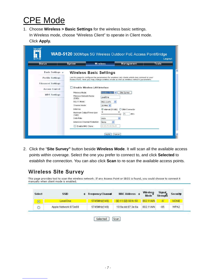## CPE Mode

1. Choose **Wireless > Basic Settings** for the wireless basic settings.

In Wireless mode, choose "Wireless Client" to operate in Client mode. Click **Apply.** 

| <b>Status</b>            | <b>System</b>                                                                                                                                                                           | <b>Wireless</b>             | Management      | Logout<br>Tools |
|--------------------------|-----------------------------------------------------------------------------------------------------------------------------------------------------------------------------------------|-----------------------------|-----------------|-----------------|
|                          |                                                                                                                                                                                         |                             |                 |                 |
| <b>Basic Settings »</b>  | <b>Wireless Basic Settings</b>                                                                                                                                                          |                             |                 |                 |
| <b>Profile Settings</b>  | Use this page to configure the parameters for wireless LAN clients which may connect to your<br>Access Point. Here you may change wireless mode as well as wireless network parameters. |                             |                 |                 |
| <b>Advanced Settings</b> |                                                                                                                                                                                         |                             |                 |                 |
| Access Control           | <b>Disable Wireless LAN Interface</b>                                                                                                                                                   |                             |                 |                 |
|                          | Wireless Mode:                                                                                                                                                                          | Wireless Client<br>$\vee$   | Site Survey     |                 |
| <b>WDS Settings</b>      | Wireless Network Name                                                                                                                                                                   | LevelOne                    |                 |                 |
|                          | (SSID):<br>802.11 Mode:                                                                                                                                                                 | 802.11A/N                   |                 |                 |
|                          | Channel Mode:                                                                                                                                                                           | 20 MHz $\vee$               |                 |                 |
|                          | Antenna:                                                                                                                                                                                | O Internal (16 dBi)         | ○ SMA Connector |                 |
|                          | Maximum Output Power (per<br>chain):                                                                                                                                                    | 12                          | 21<br>21<br>dBm |                 |
|                          | Data Rate:                                                                                                                                                                              | Auto                        | v.              |                 |
|                          | <b>Extension Channel Protection:</b>                                                                                                                                                    | $\ddot{\mathbf{v}}$<br>None |                 |                 |
|                          | Enable MAC Clone:<br><b>I</b>                                                                                                                                                           | 00:19:70:00:fb:c5           |                 |                 |

2. Click the "**Site Survey"** button beside **Wireless Mode**. It will scan all the available access points within coverage. Select the one you prefer to connect to, and click **Selected** to establish the connection. You can also click **Scan** to re-scan the available access points.

### **Wireless Site Survey**

This page provides tool to scan the wireless network. If any Access Point or IBSS is found, you could choose to connect it<br>manually when client mode is enabled.

| Select         | <b>SSID</b>          | Frequency/Channel | MAC Address $\div$ | Wireless<br>Mode | Signal<br>Strength | <b>Securite</b> |
|----------------|----------------------|-------------------|--------------------|------------------|--------------------|-----------------|
| ---<br>$\circ$ | LevelOne :           | 5745MHz(149)      | 00:11:6B:00:fc:58  | 802.11A/N        | $-6$               | <b>NONE</b>     |
| Ō              | Apple Network 873e69 | 5745MHz(149)      | 10:9a:dd:87:3e:6a  | 802.11A/N        | $-85.$             | WPA2            |

Selected  $|\mathsf{Scan}|$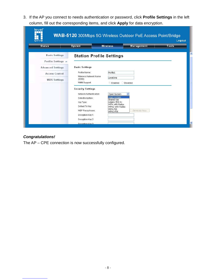3. If the AP you connect to needs authentication or password, click **Profile Settings** in the left column, fill out the corresponding items, and click **Apply** for data encryption.

| <b>Basic Settings</b><br><b>Station Profile Settings</b><br>Profile Settings »<br><b>Basic Settings</b><br><b>Advanced Settings</b><br>Profile Name:<br>Profile1<br><b>Access Control</b><br>Wireless Network Name<br>LevelOne<br>$(SSID)$ :<br><b>WDS Settings</b><br>WMM Support:<br>Disabled<br>Enabled<br><b>Security Settings</b><br>Network Authentication:<br>Open System<br>Open System<br>Data Encryption:<br>Shared Key<br>egacy 802.1x<br>Key Type:<br>WPA with Radius<br>Default Tx Key:<br>WPA2 with Radius<br>WPA-PSK<br>Generate Keys<br>WEP Passphrase:<br>WPA2-PSK | <b>Status</b> | <b>System</b> | <b>Wireless</b> | Management | Tools |
|-------------------------------------------------------------------------------------------------------------------------------------------------------------------------------------------------------------------------------------------------------------------------------------------------------------------------------------------------------------------------------------------------------------------------------------------------------------------------------------------------------------------------------------------------------------------------------------|---------------|---------------|-----------------|------------|-------|
|                                                                                                                                                                                                                                                                                                                                                                                                                                                                                                                                                                                     |               |               |                 |            |       |
|                                                                                                                                                                                                                                                                                                                                                                                                                                                                                                                                                                                     |               |               |                 |            |       |
|                                                                                                                                                                                                                                                                                                                                                                                                                                                                                                                                                                                     |               |               |                 |            |       |
|                                                                                                                                                                                                                                                                                                                                                                                                                                                                                                                                                                                     |               |               |                 |            |       |
|                                                                                                                                                                                                                                                                                                                                                                                                                                                                                                                                                                                     |               |               |                 |            |       |
|                                                                                                                                                                                                                                                                                                                                                                                                                                                                                                                                                                                     |               |               |                 |            |       |
|                                                                                                                                                                                                                                                                                                                                                                                                                                                                                                                                                                                     |               |               |                 |            |       |
|                                                                                                                                                                                                                                                                                                                                                                                                                                                                                                                                                                                     |               |               |                 |            |       |
|                                                                                                                                                                                                                                                                                                                                                                                                                                                                                                                                                                                     |               |               |                 |            |       |
|                                                                                                                                                                                                                                                                                                                                                                                                                                                                                                                                                                                     |               |               |                 |            |       |
|                                                                                                                                                                                                                                                                                                                                                                                                                                                                                                                                                                                     |               |               |                 |            |       |
|                                                                                                                                                                                                                                                                                                                                                                                                                                                                                                                                                                                     |               |               |                 |            |       |
|                                                                                                                                                                                                                                                                                                                                                                                                                                                                                                                                                                                     |               |               |                 |            |       |

#### **Congratulations!**

The AP – CPE connection is now successfully configured.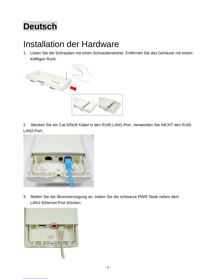# **Deutsch**

## Installation der Hardware

1. Lösen Sie die Schrauben mit einen Schraubendreher. Entfernen Sie das Gehäuse mit einem kräftigen Ruck.



2. Stecken Sie ein Cat.5/5e/6 Kabel in den RJ45 LAN1-Port. Verwenden Sie NICHT den RJ45 LAN2-Port.



3. Stellen Sie die Stromversorgung an, indem Sie die schwarze PWR-Taste neben dem LAN1-Ethernet-Port drücken.

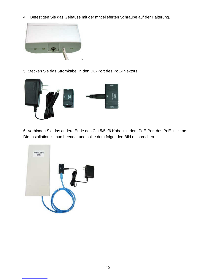4. Befestigen Sie das Gehäuse mit der mitgelieferten Schraube auf der Halterung.



5. Stecken Sie das Stromkabel in den DC-Port des PoE-Injektors.



6. Verbinden Sie das andere Ende des Cat.5/5e/6 Kabel mit dem PoE-Port des PoE-Injektors. Die Installation ist nun beendet und sollte dem folgenden Bild entsprechen.

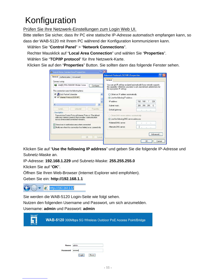# Konfiguration

Prüfen Sie Ihre Netzwerk-Einstellungen zum Login Web UI.

Bitte stellen Sie sicher, dass Ihr PC eine statische IP-Adresse automatisch empfangen kann, so dass der WAB-5120 mit Ihrem PC während der Konfiguration kommunizieren kann.

Wählen Sie "**Control Panel**" > "**Network Connections**".

Rechter Mausklick auf "**Local Area Connection**" und wählen Sie "**Properties**".

Wählen Sie "**TCP/IP protocol**" für Ihre Netzwerk-Karte.

Klicken Sie auf den "**Properties**" Button. Sie sollten dann das folgende Fenster sehen.

| General<br>Authentication   Advanced                                                                                                                                                                                                                                                               |                         | Internet Protocol (TCP/IP) Properties                                                                                                    |                                                                                                                                                       |
|----------------------------------------------------------------------------------------------------------------------------------------------------------------------------------------------------------------------------------------------------------------------------------------------------|-------------------------|------------------------------------------------------------------------------------------------------------------------------------------|-------------------------------------------------------------------------------------------------------------------------------------------------------|
| Connect using:                                                                                                                                                                                                                                                                                     |                         | General                                                                                                                                  |                                                                                                                                                       |
| Intel(R) PRO/1000 MT Mobile Conne<br>This connection uses the following items:                                                                                                                                                                                                                     | Configure               | the appropriate IP settings.                                                                                                             | You can get IP settings assigned automatically if your network supports<br>this capability. Otherwise, you need to ask your network administrator for |
| <b>D</b> QoS Packet Scheduler<br>▼ Tinternet Protocol (TCP/IP)                                                                                                                                                                                                                                     |                         | O Obtain an IP address automatically<br>Use the following IP address:                                                                    |                                                                                                                                                       |
| z                                                                                                                                                                                                                                                                                                  |                         | IP address:                                                                                                                              | 192.168.1.229                                                                                                                                         |
| (11)<br>Hninstall<br>Install.                                                                                                                                                                                                                                                                      | ×.<br><b>Properties</b> | Subnet mask:<br>Default gateway:                                                                                                         | 255 . 255 . 255 . 0<br>$\sim$<br>$\mathcal{C}^{\mathcal{C}}_{\mathcal{C}^{\mathcal{C}}}$<br>$\sim$                                                    |
| Description<br>Transmission Control Protocol/Internet Protocol. The default<br>wide area network protocol that provides communication<br>across diverse interconnected networks.<br>Show icon in notification area when connected<br>Notify me when this connection has limited or no connectivity |                         | Obtain DNS server address automatically<br>(a) Use the following DNS server addresses:<br>Preferred DNS server:<br>Alternate DNS server: | 22<br>- 22                                                                                                                                            |
| <b>OK</b>                                                                                                                                                                                                                                                                                          | Cancel                  |                                                                                                                                          | Advanced<br>Cancel<br>OK                                                                                                                              |

Klicken Sie auf "**Use the following IP address**" und geben Sie die folgende IP-Adresse und Subnetz-Maske an.

IP-Adresse: **192.168.1.229** und Subnetz-Maske: **255.255.255.0**

Klicken Sie auf "**OK**".

Öffnen Sie Ihren Web-Browser (Internet Explorer wird empfohlen).

Geben Sie ein: **http://192.168.1.1** 



Sie werden die WAB-5120 Login-Seite wie folgt sehen.

Nutzen den folgenden Username und Passwort, um sich anzumelden.

Username: **admin** und Passwort: **admin**

| level <sup>*</sup><br>one |             | <b>WAB-5120</b> 300Mbps 5G Wireless Outdoor PoE Access Point/Bridge |
|---------------------------|-------------|---------------------------------------------------------------------|
|                           |             |                                                                     |
|                           | <b>Name</b> | admin                                                               |
|                           | Password    | <br>Reset<br>Login                                                  |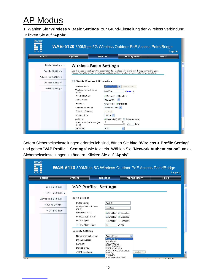# AP Modus

1. Wählen Sie "**Wireless > Basic Settings**" zur Grund-Einstellung der Wireless Verbindung. Klicken Sie auf "**Apply**".

| <b>Basic Settings &gt;&gt;</b><br><b>Profile Settings</b><br><b>Advanced Settings</b> | <b>Wireless Basic Settings</b><br>Use this page to configure the parameters for wireless LAN clients which may connect to your<br>Access Point. Here you may change wireless mode as well as wireless network parameters. |                                                                                                                               |                       |  |
|---------------------------------------------------------------------------------------|---------------------------------------------------------------------------------------------------------------------------------------------------------------------------------------------------------------------------|-------------------------------------------------------------------------------------------------------------------------------|-----------------------|--|
|                                                                                       |                                                                                                                                                                                                                           |                                                                                                                               |                       |  |
|                                                                                       |                                                                                                                                                                                                                           |                                                                                                                               |                       |  |
| <b>Access Control</b>                                                                 | Disable Wireless LAN Interface                                                                                                                                                                                            |                                                                                                                               |                       |  |
| <b>WDS Settings</b>                                                                   | Wireless Mode:<br>Wireless Network Name<br>(SSID):<br>Broadcast SSID:<br>802.11 Mode:<br>HT protect:<br>Frequency/Channel:<br>Extension Channel:                                                                          | -AP<br>LevelOne<br>$\odot$ Enabled<br><b>O</b> Disabled<br>802.11A/N<br>ODisabled<br>$O$ Enabled<br>5745MHz (149) V<br>None V | Site Survey<br>(more) |  |
|                                                                                       | Channel Mode:<br>Antenna:                                                                                                                                                                                                 | 20 MHz V<br>C Internal (16 dBi)                                                                                               | ◯ SMA Connector       |  |

Sofern Sicherheitseinstellungen erforderlich sind, öffnen Sie bitte "**Wireless > Profile Setting**" und geben "**VAP Profile 1 Settings**" wie folgt ein. Wählen Sie "**Network Authentication**" um die Sicherheitseinstellungen zu ändern. Klicken Sie auf "**Apply**".

| <b>Status</b>            | <b>System</b>                                          | <b>Wireless</b>                                  | Management | Tools |
|--------------------------|--------------------------------------------------------|--------------------------------------------------|------------|-------|
| <b>Basic Settings</b>    | <b>VAP Profile1 Settings</b>                           |                                                  |            |       |
| Profile Settings »       |                                                        |                                                  |            |       |
| <b>Advanced Settings</b> | <b>Basic Settings</b>                                  |                                                  |            |       |
| <b>Access Control</b>    | Profile Name:                                          | Profile1                                         |            |       |
| <b>WDS Settings</b>      | Wireless Network Name<br>$(SSID)$ :<br>Broadcast SSID: | LevelOne<br><b>O</b> Disabled<br>$\odot$ Enabled |            |       |
|                          | Wireless Separation:                                   | <b>O</b> Enabled<br>⊙ Disabled                   |            |       |
|                          | WMM Support:                                           | Disabled<br>Enabled                              |            |       |
|                          | Max. Station Num:                                      | 32<br>$(0-32)$                                   |            |       |
|                          | <b>Security Settings</b>                               |                                                  |            |       |
|                          | Network Authentication:                                | Open System                                      |            |       |
|                          | Data Encryption:                                       | Open System<br>Shared Key                        |            |       |
|                          | Key Type:                                              | egacy 802.1x<br>WPA with Radius                  |            |       |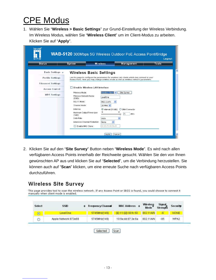# CPE Modus

1. Wählen Sie "**Wireless > Basic Settings**" zur Grund-Einstellung der Wireless Verbindung. Im Wireless Modus, wählen Sie "**Wireless Client**" um im Client-Modus zu arbeiten. Klicken Sie auf "**Apply**".

| one<br><b>Status</b>     | <b>System</b>                                                                                                                                                                           | <b>Wireless</b>                 | <b>Management</b> | Logout<br>Tools |  |  |
|--------------------------|-----------------------------------------------------------------------------------------------------------------------------------------------------------------------------------------|---------------------------------|-------------------|-----------------|--|--|
|                          |                                                                                                                                                                                         |                                 |                   |                 |  |  |
| <b>Basic Settings »</b>  | <b>Wireless Basic Settings</b>                                                                                                                                                          |                                 |                   |                 |  |  |
| <b>Profile Settings</b>  | Use this page to configure the parameters for wireless LAN clients which may connect to your<br>Access Point. Here you may change wireless mode as well as wireless network parameters. |                                 |                   |                 |  |  |
| <b>Advanced Settings</b> |                                                                                                                                                                                         |                                 |                   |                 |  |  |
| <b>Access Control</b>    | <b>Disable Wireless LAN Interface</b>                                                                                                                                                   |                                 |                   |                 |  |  |
| <b>WDS Settings</b>      | Wireless Mode:                                                                                                                                                                          | Wireless Client<br>$\checkmark$ | Site Survey       |                 |  |  |
|                          | Wireless Network Name<br>(SSID):                                                                                                                                                        | LevelOne                        |                   |                 |  |  |
|                          | 802.11 Mode:                                                                                                                                                                            | 802.11A/N                       |                   |                 |  |  |
|                          | Channel Mode:                                                                                                                                                                           | 20 MHz V                        |                   |                 |  |  |
|                          | Antenna:                                                                                                                                                                                | O Internal (16 dBi)             | ○ SMA Connector   |                 |  |  |
|                          | Maximum Output Power (per<br>chain):                                                                                                                                                    | 12                              | 21<br>21<br>dBm   |                 |  |  |
|                          | Data Rate:                                                                                                                                                                              | Auto                            | $\ddotmark$       |                 |  |  |
|                          | Extension Channel Protection:                                                                                                                                                           | $\overline{\mathbf{v}}$<br>None |                   |                 |  |  |
|                          | Enable MAC Clone:<br>ш                                                                                                                                                                  | 00:19:70:00:fb:c5               |                   |                 |  |  |

2. Klicken Sie auf den "**Site Survey**" Button neben "**Wireless Mode**". Es wird nach allen verfügbaren Access Points innerhalb der Reichweite gesucht. Wählen Sie den von Ihnen gewünschten AP aus und klicken Sie auf "**Selected**", um die Verbindung herzustellen. Sie können auch auf "**Scan**" klicken, um eine erneute Suche nach verfügbaren Access Points durchzuführen.

### **Wireless Site Survey**

This page provides tool to scan the wireless network. If any Access Point or IBSS is found, you could choose to connect it manually when client mode is enabled. Wireless Signal, **SSID** Select Frequency/Channel MAC Address  $\triangle$ **Securit#** ۵ Strength Mode<sup>3</sup> LevelOne 5745MHz(149) 00:11:6B:00:fc:58 802.11A/N  $-6$ **NONE**  $\odot$ Apple Network 873e69 802.11A/N  $-85$ WPA2 5745MHz(149) 10:9a:dd:87:3e:6a  $\circ$ 

 $\lceil$ Scan $\rceil$ 

Selected